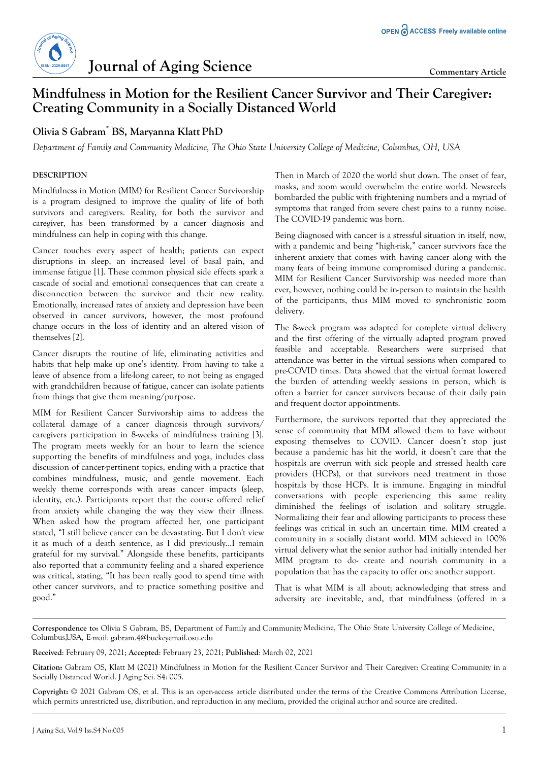# **Iournal of Aging Science Commentary Article**

## **Mindfulness in Motion for the Resilient Cancer Survivor and Their Caregiver: Creating Community in a Socially Distanced World**

## **Olivia S Gabram\* BS, Maryanna Klatt PhD**

*Department of Family and Community Medicine, The Ohio State University College of Medicine, Columbus, OH, USA*

### **DESCRIPTION**

Mindfulness in Motion (MIM) for Resilient Cancer Survivorship is a program designed to improve the quality of life of both survivors and caregivers. Reality, for both the survivor and caregiver, has been transformed by a cancer diagnosis and mindfulness can help in coping with this change.

Cancer touches every aspect of health; patients can expect disruptions in sleep, an increased level of basal pain, and immense fatigue [1]. These common physical side effects spark a cascade of social and emotional consequences that can create a disconnection between the survivor and their new reality. Emotionally, increased rates of anxiety and depression have been observed in cancer survivors, however, the most profound change occurs in the loss of identity and an altered vision of themselves [2].

Cancer disrupts the routine of life, eliminating activities and habits that help make up one's identity. From having to take a leave of absence from a life-long career, to not being as engaged with grandchildren because of fatigue, cancer can isolate patients from things that give them meaning/purpose.

MIM for Resilient Cancer Survivorship aims to address the collateral damage of a cancer diagnosis through survivors/ caregivers participation in 8-weeks of mindfulness training [3]. The program meets weekly for an hour to learn the science supporting the benefits of mindfulness and yoga, includes class discussion of cancer-pertinent topics, ending with a practice that combines mindfulness, music, and gentle movement. Each weekly theme corresponds with areas cancer impacts (sleep, identity, etc.). Participants report that the course offered relief from anxiety while changing the way they view their illness. When asked how the program affected her, one participant stated, "I still believe cancer can be devastating. But I don't view it as much of a death sentence, as I did previously...I remain grateful for my survival." Alongside these benefits, participants also reported that a community feeling and a shared experience was critical, stating, "It has been really good to spend time with other cancer survivors, and to practice something positive and good."

Then in March of 2020 the world shut down. The onset of fear, masks, and zoom would overwhelm the entire world. Newsreels bombarded the public with frightening numbers and a myriad of symptoms that ranged from severe chest pains to a runny noise. The COVID-19 pandemic was born.

Being diagnosed with cancer is a stressful situation in itself, now, with a pandemic and being "high-risk," cancer survivors face the inherent anxiety that comes with having cancer along with the many fears of being immune compromised during a pandemic. MIM for Resilient Cancer Survivorship was needed more than ever, however, nothing could be in-person to maintain the health of the participants, thus MIM moved to synchronistic zoom delivery.

The 8-week program was adapted for complete virtual delivery and the first offering of the virtually adapted program proved feasible and acceptable. Researchers were surprised that attendance was better in the virtual sessions when compared to pre-COVID times. Data showed that the virtual format lowered the burden of attending weekly sessions in person, which is often a barrier for cancer survivors because of their daily pain and frequent doctor appointments.

Furthermore, the survivors reported that they appreciated the sense of community that MIM allowed them to have without exposing themselves to COVID. Cancer doesn't stop just because a pandemic has hit the world, it doesn't care that the hospitals are overrun with sick people and stressed health care providers (HCPs), or that survivors need treatment in those hospitals by those HCPs. It is immune. Engaging in mindful conversations with people experiencing this same reality diminished the feelings of isolation and solitary struggle. Normalizing their fear and allowing participants to process these feelings was critical in such an uncertain time. MIM created a community in a socially distant world. MIM achieved in 100% virtual delivery what the senior author had initially intended her MIM program to do- create and nourish community in a population that has the capacity to offer one another support.

That is what MIM is all about; acknowledging that stress and adversity are inevitable, and, that mindfulness (offered in a

**Correspondence to:** Olivia S Gabram, BS, Department of Family and Community Medicine, The Ohio State University College of Medicine, Columbus,USA, E-mail: gabram.4@buckeyemail.osu.edu

**Received**: February 09, 2021; **Accepted**: February 23, 2021; **Published**: March 02, 2021

**Citation:** Gabram OS, Klatt M (2021) Mindfulness in Motion for the Resilient Cancer Survivor and Their Caregiver: Creating Community in a Socially Distanced World. J Aging Sci. S4: 005.

**Copyright:** © 2021 Gabram OS, et al. This is an open-access article distributed under the terms of the Creative Commons Attribution License, which permits unrestricted use, distribution, and reproduction in any medium, provided the original author and source are credited.